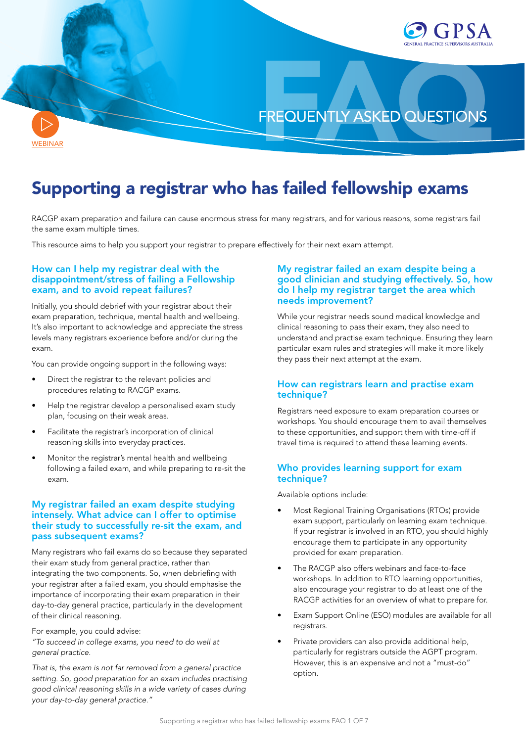

**[WEBINAR](https://youtu.be/Bm1ciKpbpMI)** 

# Supporting a registrar who has failed fellowship exams

RACGP exam preparation and failure can cause enormous stress for many registrars, and for various reasons, some registrars fail the same exam multiple times.

This resource aims to help you support your registrar to prepare effectively for their next exam attempt.

## How can I help my registrar deal with the disappointment/stress of failing a Fellowship exam, and to avoid repeat failures?

Initially, you should debrief with your registrar about their exam preparation, technique, mental health and wellbeing. It's also important to acknowledge and appreciate the stress levels many registrars experience before and/or during the exam.

You can provide ongoing support in the following ways:

- Direct the registrar to the relevant policies and procedures relating to RACGP exams.
- Help the registrar develop a personalised exam study plan, focusing on their weak areas.
- Facilitate the registrar's incorporation of clinical reasoning skills into everyday practices.
- Monitor the registrar's mental health and wellbeing following a failed exam, and while preparing to re-sit the exam.

## My registrar failed an exam despite studying intensely. What advice can I offer to optimise their study to successfully re-sit the exam, and pass subsequent exams?

Many registrars who fail exams do so because they separated their exam study from general practice, rather than integrating the two components. So, when debriefing with your registrar after a failed exam, you should emphasise the importance of incorporating their exam preparation in their day-to-day general practice, particularly in the development of their clinical reasoning.

For example, you could advise:

*"To succeed in college exams, you need to do well at general practice.*

*That is, the exam is not far removed from a general practice setting. So, good preparation for an exam includes practising good clinical reasoning skills in a wide variety of cases during your day-to-day general practice."*

## My registrar failed an exam despite being a good clinician and studying effectively. So, how do I help my registrar target the area which needs improvement?

While your registrar needs sound medical knowledge and clinical reasoning to pass their exam, they also need to understand and practise exam technique. Ensuring they learn particular exam rules and strategies will make it more likely they pass their next attempt at the exam.

## How can registrars learn and practise exam technique?

Registrars need exposure to exam preparation courses or workshops. You should encourage them to avail themselves to these opportunities, and support them with time-off if travel time is required to attend these learning events.

## Who provides learning support for exam technique?

Available options include:

- Most Regional Training Organisations (RTOs) provide exam support, particularly on learning exam technique. If your registrar is involved in an RTO, you should highly encourage them to participate in any opportunity provided for exam preparation.
- The RACGP also offers webinars and face-to-face workshops. In addition to RTO learning opportunities, also encourage your registrar to do at least one of the RACGP activities for an overview of what to prepare for.
- Exam Support Online (ESO) modules are available for all registrars.
- Private providers can also provide additional help, particularly for registrars outside the AGPT program. However, this is an expensive and not a "must-do" option.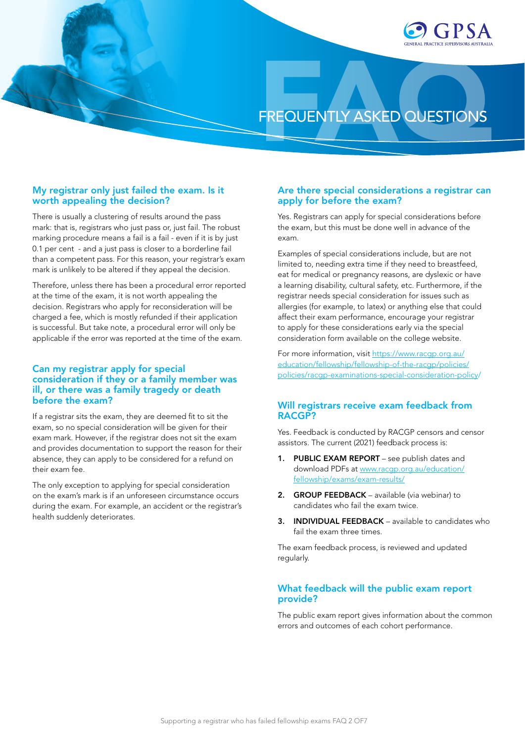

## My registrar only just failed the exam. Is it worth appealing the decision?

There is usually a clustering of results around the pass mark: that is, registrars who just pass or, just fail. The robust marking procedure means a fail is a fail - even if it is by just 0.1 per cent - and a just pass is closer to a borderline fail than a competent pass. For this reason, your registrar's exam mark is unlikely to be altered if they appeal the decision.

Therefore, unless there has been a procedural error reported at the time of the exam, it is not worth appealing the decision. Registrars who apply for reconsideration will be charged a fee, which is mostly refunded if their application is successful. But take note, a procedural error will only be applicable if the error was reported at the time of the exam.

## Can my registrar apply for special consideration if they or a family member was ill, or there was a family tragedy or death before the exam?

If a registrar sits the exam, they are deemed fit to sit the exam, so no special consideration will be given for their exam mark. However, if the registrar does not sit the exam and provides documentation to support the reason for their absence, they can apply to be considered for a refund on their exam fee.

The only exception to applying for special consideration on the exam's mark is if an unforeseen circumstance occurs during the exam. For example, an accident or the registrar's health suddenly deteriorates.

## Are there special considerations a registrar can apply for before the exam?

Yes. Registrars can apply for special considerations before the exam, but this must be done well in advance of the exam.

Examples of special considerations include, but are not limited to, needing extra time if they need to breastfeed, eat for medical or pregnancy reasons, are dyslexic or have a learning disability, cultural safety, etc. Furthermore, if the registrar needs special consideration for issues such as allergies (for example, to latex) or anything else that could affect their exam performance, encourage your registrar to apply for these considerations early via the special consideration form available on the college website.

For more information, visit [https://www.racgp.org.au/](https://www.racgp.org.au/education/fellowship/fellowship-of-the-racgp/policies/policies/racgp-examinations-special-consideration-policy/) [education/fellowship/fellowship-of-the-racgp/policies/](https://www.racgp.org.au/education/fellowship/fellowship-of-the-racgp/policies/policies/racgp-examinations-special-consideration-policy/) [policies/racgp-examinations-special-consideration-policy](https://www.racgp.org.au/education/fellowship/fellowship-of-the-racgp/policies/policies/racgp-examinations-special-consideration-policy/)/

## Will registrars receive exam feedback from RACGP?

Yes. Feedback is conducted by RACGP censors and censor assistors. The current (2021) feedback process is:

- 1. PUBLIC EXAM REPORT see publish dates and download PDFs at [www.racgp.org.au/education/](http://www.racgp.org.au/education/fellowship/exams/exam-results/) [fellowship/exams/exam-results/](http://www.racgp.org.au/education/fellowship/exams/exam-results/)
- 2. GROUP FEEDBACK available (via webinar) to candidates who fail the exam twice.
- 3. INDIVIDUAL FEEDBACK available to candidates who fail the exam three times.

The exam feedback process, is reviewed and updated regularly.

## What feedback will the public exam report provide?

The public exam report gives information about the common errors and outcomes of each cohort performance.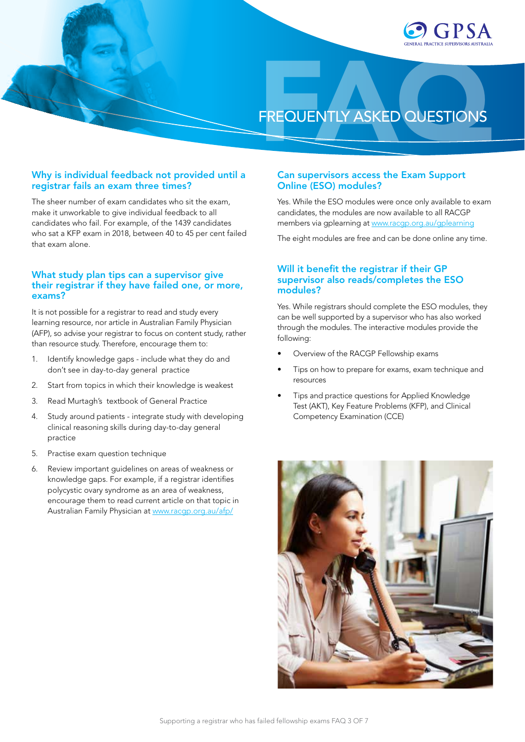

## Why is individual feedback not provided until a registrar fails an exam three times?

The sheer number of exam candidates who sit the exam, make it unworkable to give individual feedback to all candidates who fail. For example, of the 1439 candidates who sat a KFP exam in 2018, between 40 to 45 per cent failed that exam alone.

## What study plan tips can a supervisor give their registrar if they have failed one, or more, exams?

It is not possible for a registrar to read and study every learning resource, nor article in Australian Family Physician (AFP), so advise your registrar to focus on content study, rather than resource study. Therefore, encourage them to:

- 1. Identify knowledge gaps include what they do and don't see in day-to-day general practice
- 2. Start from topics in which their knowledge is weakest
- 3. Read Murtagh's textbook of General Practice
- 4. Study around patients integrate study with developing clinical reasoning skills during day-to-day general practice
- 5. Practise exam question technique
- 6. Review important guidelines on areas of weakness or knowledge gaps. For example, if a registrar identifies polycystic ovary syndrome as an area of weakness, encourage them to read current article on that topic in Australian Family Physician at [www.racgp.org.au/afp/](http://www.racgp.org.au/afp/)

### Can supervisors access the Exam Support Online (ESO) modules?

Yes. While the ESO modules were once only available to exam candidates, the modules are now available to all RACGP members via gplearning at [www.racgp.org.au/gplearning](http://www.racgp.org.au/gplearning)

The eight modules are free and can be done online any time.

### Will it benefit the registrar if their GP supervisor also reads/completes the ESO modules?

Yes. While registrars should complete the ESO modules, they can be well supported by a supervisor who has also worked through the modules. The interactive modules provide the following:

- Overview of the RACGP Fellowship exams
- Tips on how to prepare for exams, exam technique and resources
- Tips and practice questions for Applied Knowledge Test (AKT), Key Feature Problems (KFP), and Clinical Competency Examination (CCE)

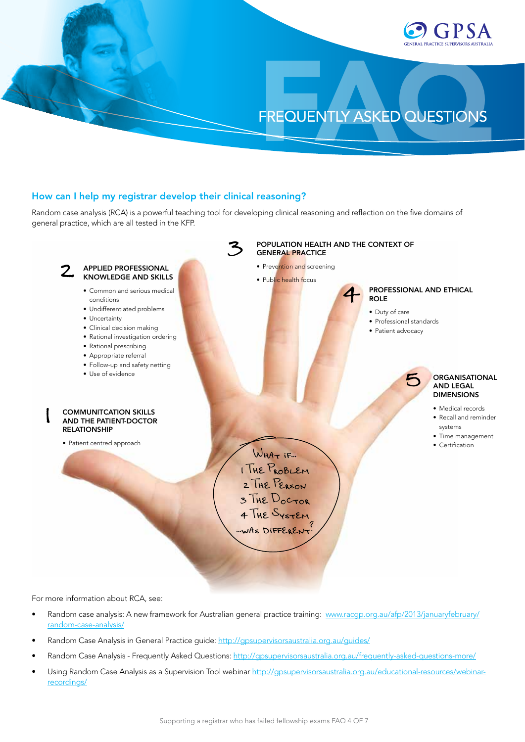

## How can I help my registrar develop their clinical reasoning?

Random case analysis (RCA) is a powerful teaching tool for developing clinical reasoning and reflection on the five domains of general practice, which are all tested in the KFP.



For more information about RCA, see:

- Random case analysis: A new framework for Australian general practice training: [www.racgp.org.au/afp/2013/januaryfebruary/](http://www.racgp.org.au/afp/2013/januaryfebruary/random-case-analysis/) [random-case-analysis/](http://www.racgp.org.au/afp/2013/januaryfebruary/random-case-analysis/)
- Random Case Analysis in General Practice guide: <http://gpsupervisorsaustralia.org.au/guides/>
- Random Case Analysis Frequently Asked Questions: <http://gpsupervisorsaustralia.org.au/frequently-asked-questions-more/>
- Using Random Case Analysis as a Supervision Tool webinar [http://gpsupervisorsaustralia.org.au/educational-resources/webinar](http://gpsupervisorsaustralia.org.au/educational-resources/webinar-recordings/)[recordings/](http://gpsupervisorsaustralia.org.au/educational-resources/webinar-recordings/)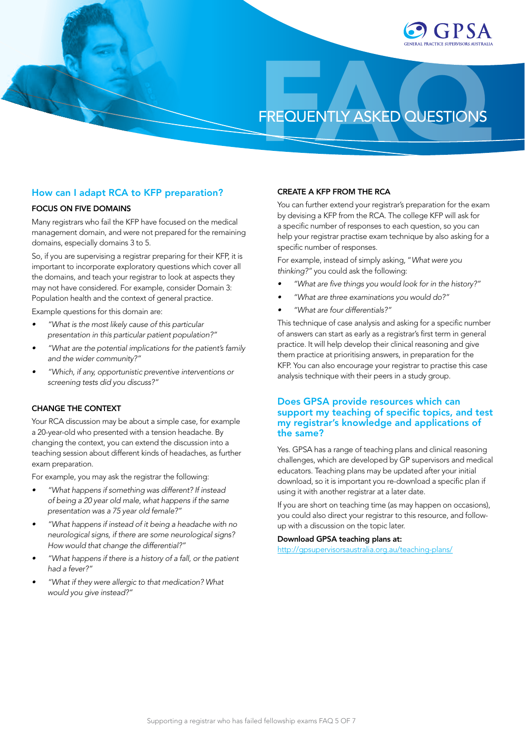

## How can I adapt RCA to KFP preparation?

## FOCUS ON FIVE DOMAINS

Many registrars who fail the KFP have focused on the medical management domain, and were not prepared for the remaining domains, especially domains 3 to 5.

So, if you are supervising a registrar preparing for their KFP, it is important to incorporate exploratory questions which cover all the domains, and teach your registrar to look at aspects they may not have considered. For example, consider Domain 3: Population health and the context of general practice.

Example questions for this domain are:

- *• "What is the most likely cause of this particular presentation in this particular patient population?"*
- *• "What are the potential implications for the patient's family and the wider community?"*
- *• "Which, if any, opportunistic preventive interventions or screening tests did you discuss?"*

#### CHANGE THE CONTEXT

Your RCA discussion may be about a simple case, for example a 20-year-old who presented with a tension headache. By changing the context, you can extend the discussion into a teaching session about different kinds of headaches, as further exam preparation.

For example, you may ask the registrar the following:

- *• "What happens if something was different? If instead of being a 20 year old male, what happens if the same presentation was a 75 year old female?"*
- *• "What happens if instead of it being a headache with no neurological signs, if there are some neurological signs? How would that change the differential?"*
- *• "What happens if there is a history of a fall, or the patient had a fever?"*
- *• "What if they were allergic to that medication? What would you give instead?"*

### CREATE A KFP FROM THE RCA

You can further extend your registrar's preparation for the exam by devising a KFP from the RCA. The college KFP will ask for a specific number of responses to each question, so you can help your registrar practise exam technique by also asking for a specific number of responses.

For example, instead of simply asking, "*What were you thinking?"* you could ask the following:

- *• "What are five things you would look for in the history?"*
- *• "What are three examinations you would do?"*
- *• "What are four differentials?"*

This technique of case analysis and asking for a specific number of answers can start as early as a registrar's first term in general practice. It will help develop their clinical reasoning and give them practice at prioritising answers, in preparation for the KFP. You can also encourage your registrar to practise this case analysis technique with their peers in a study group.

## Does GPSA provide resources which can support my teaching of specific topics, and test my registrar's knowledge and applications of the same?

Yes. GPSA has a range of teaching plans and clinical reasoning challenges, which are developed by GP supervisors and medical educators. Teaching plans may be updated after your initial download, so it is important you re-download a specific plan if using it with another registrar at a later date.

If you are short on teaching time (as may happen on occasions), you could also direct your registrar to this resource, and followup with a discussion on the topic later.

#### Download GPSA teaching plans at:

<http://gpsupervisorsaustralia.org.au/teaching-plans/>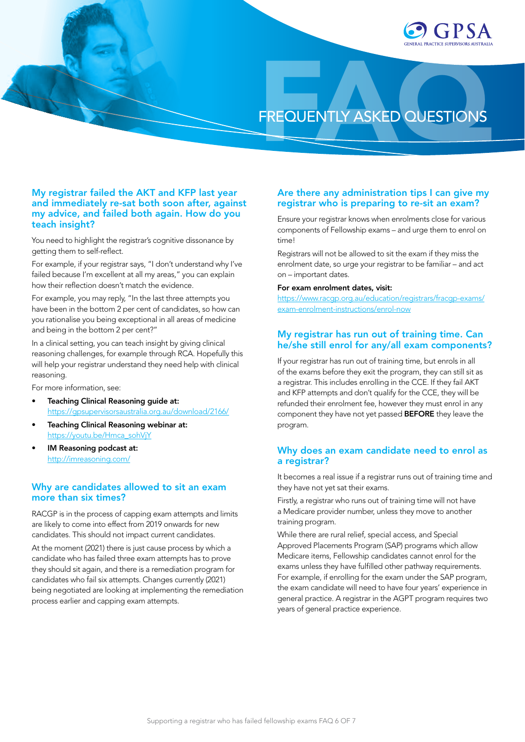

## My registrar failed the AKT and KFP last year and immediately re-sat both soon after, against my advice, and failed both again. How do you teach insight?

You need to highlight the registrar's cognitive dissonance by getting them to self-reflect.

For example, if your registrar says, "I don't understand why I've failed because I'm excellent at all my areas," you can explain how their reflection doesn't match the evidence.

For example, you may reply, "In the last three attempts you have been in the bottom 2 per cent of candidates, so how can you rationalise you being exceptional in all areas of medicine and being in the bottom 2 per cent?"

In a clinical setting, you can teach insight by giving clinical reasoning challenges, for example through RCA. Hopefully this will help your registrar understand they need help with clinical reasoning.

For more information, see:

- Teaching Clinical Reasoning guide at: <https://gpsupervisorsaustralia.org.au/download/2166/>
- Teaching Clinical Reasoning webinar at: [https://youtu.be/Hmca\\_sohVjY](https://youtu.be/Hmca_sohVjY)
- IM Reasoning podcast at: <http://imreasoning.com/>

## Why are candidates allowed to sit an exam more than six times?

RACGP is in the process of capping exam attempts and limits are likely to come into effect from 2019 onwards for new candidates. This should not impact current candidates.

At the moment (2021) there is just cause process by which a candidate who has failed three exam attempts has to prove they should sit again, and there is a remediation program for candidates who fail six attempts. Changes currently (2021) being negotiated are looking at implementing the remediation process earlier and capping exam attempts.

## Are there any administration tips I can give my registrar who is preparing to re-sit an exam?

Ensure your registrar knows when enrolments close for various components of Fellowship exams – and urge them to enrol on time!

Registrars will not be allowed to sit the exam if they miss the enrolment date, so urge your registrar to be familiar – and act on – important dates.

#### For exam enrolment dates, visit:

[https://www.racgp.org.au/education/registrars/fracgp-exams/](https://www.racgp.org.au/education/registrars/fracgp-exams/exam-enrolment-instructions/enrol-now) [exam-enrolment-instructions/enrol-now](https://www.racgp.org.au/education/registrars/fracgp-exams/exam-enrolment-instructions/enrol-now)

## My registrar has run out of training time. Can he/she still enrol for any/all exam components?

If your registrar has run out of training time, but enrols in all of the exams before they exit the program, they can still sit as a registrar. This includes enrolling in the CCE. If they fail AKT and KFP attempts and don't qualify for the CCE, they will be refunded their enrolment fee, however they must enrol in any component they have not yet passed BEFORE they leave the program.

## Why does an exam candidate need to enrol as a registrar?

It becomes a real issue if a registrar runs out of training time and they have not yet sat their exams.

Firstly, a registrar who runs out of training time will not have a Medicare provider number, unless they move to another training program.

While there are rural relief, special access, and Special Approved Placements Program (SAP) programs which allow Medicare items, Fellowship candidates cannot enrol for the exams unless they have fulfilled other pathway requirements. For example, if enrolling for the exam under the SAP program, the exam candidate will need to have four years' experience in general practice. A registrar in the AGPT program requires two years of general practice experience.